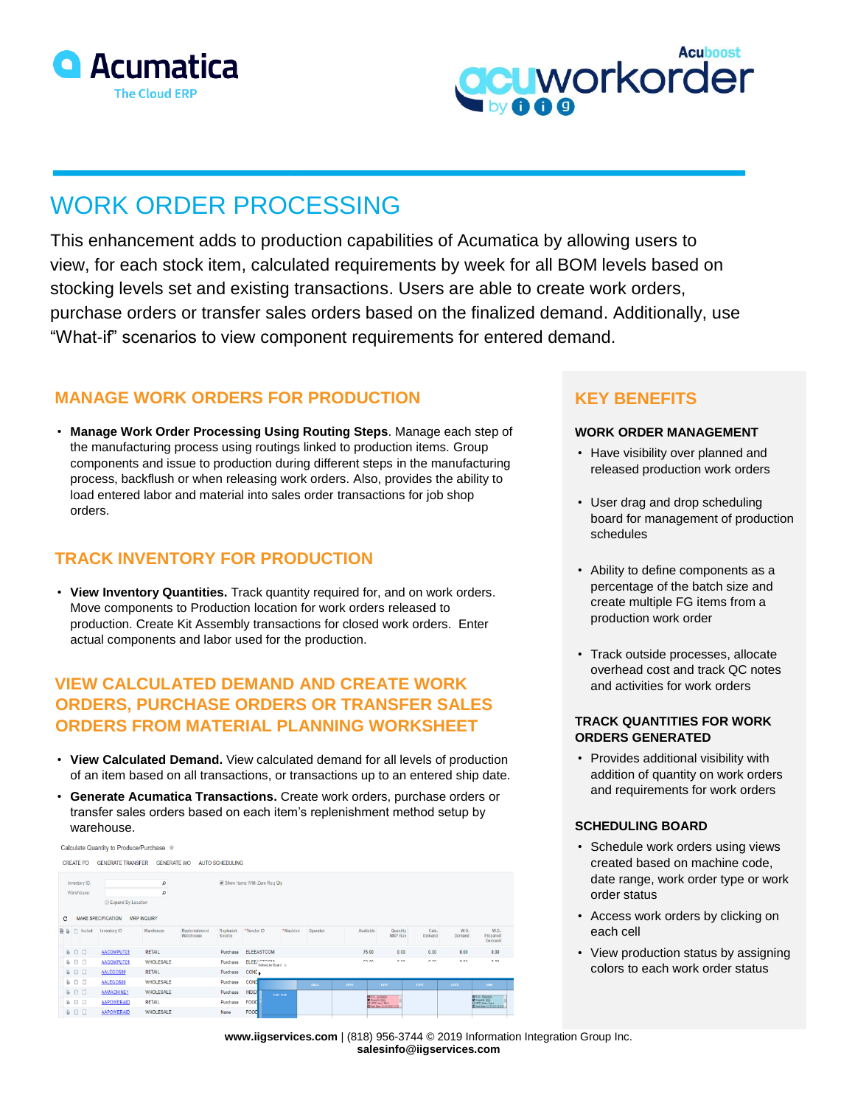



# WORK ORDER PROCESSING

This enhancement adds to production capabilities of Acumatica by allowing users to view, for each stock item, calculated requirements by week for all BOM levels based on stocking levels set and existing transactions. Users are able to create work orders, purchase orders or transfer sales orders based on the finalized demand. Additionally, use "What-if" scenarios to view component requirements for entered demand.

## **MANAGE WORK ORDERS FOR PRODUCTION**

• **Manage Work Order Processing Using Routing Steps**. Manage each step of the manufacturing process using routings linked to production items. Group components and issue to production during different steps in the manufacturing process, backflush or when releasing work orders. Also, provides the ability to load entered labor and material into sales order transactions for job shop orders.

# **TRACK INVENTORY FOR PRODUCTION**

• **View Inventory Quantities.** Track quantity required for, and on work orders. Move components to Production location for work orders released to production. Create Kit Assembly transactions for closed work orders. Enter actual components and labor used for the production.

# **VIEW CALCULATED DEMAND AND CREATE WORK ORDERS, PURCHASE ORDERS OR TRANSFER SALES ORDERS FROM MATERIAL PLANNING WORKSHEET**

- **View Calculated Demand.** View calculated demand for all levels of production of an item based on all transactions, or transactions up to an entered ship date.
- **Generate Acumatica Transactions.** Create work orders, purchase orders or transfer sales orders based on each item's replenishment method setup by warehouse.

Calculate Quantity to Produce/Purchase  $\pm$ CREATE PO GENERATE TRANSFER GENERATE WO AUTO SCHEDULING

| Inventory ID:<br>Warehouse:                          |                     |                     |                    | Ω<br>۵                  |                            | Show Items With Zero Reg Qty |                                     |           |          |             |                                                                                                |                 |                |                                                                                                                  |
|------------------------------------------------------|---------------------|---------------------|--------------------|-------------------------|----------------------------|------------------------------|-------------------------------------|-----------|----------|-------------|------------------------------------------------------------------------------------------------|-----------------|----------------|------------------------------------------------------------------------------------------------------------------|
|                                                      |                     |                     | Expand By Location |                         |                            |                              |                                     |           |          |             |                                                                                                |                 |                |                                                                                                                  |
| <b>MAKE SPECIFICATION</b><br><b>MRP INQUIRY</b><br>c |                     |                     |                    |                         |                            |                              |                                     |           |          |             |                                                                                                |                 |                |                                                                                                                  |
|                                                      |                     | <b>B B</b> n Includ | Inventory ID       | Warehouse               | Replenishment<br>Warehouse | Replenish<br>Source          | *Vendor ID                          | * Machine | Operator | Available   | Quantity<br><b>MRP Run</b>                                                                     | Calc.<br>Demand | W.O.<br>Demand | W.O.<br>Prepared<br>Demand                                                                                       |
|                                                      | $0$ $0$ $0$         |                     | AACOMPUT01         | <b>RETAIL</b>           |                            | Purchase                     | <b>ELEEASTCOM</b>                   |           |          | 75.00       | 0.00                                                                                           | 0.00            | 0.00           | 0.00                                                                                                             |
|                                                      | 0 <sup>1</sup>      | $\Box$              | AACOMPUT01         | <b><i>WHOLESALE</i></b> |                            | Purchase                     | ELEE: 070011<br>Schedule Board +    |           |          | on en       | A AA                                                                                           | A AA            | A AA           | AA                                                                                                               |
|                                                      | D D                 |                     | AALEGO500          | <b>RETAIL</b>           |                            | Purchase                     | CONE <sub>1</sub>                   |           |          |             |                                                                                                |                 |                |                                                                                                                  |
|                                                      | $\mathbf{a}$ n      | $\Box$              | AALEGO500          | <b>WHOLESALE</b>        |                            | Purchase                     | <b>COND</b>                         |           | ATRA.    | <b>EPSN</b> | <b>TANU</b>                                                                                    | <b>TANX</b>     | <b>GETX</b>    | MOIL.                                                                                                            |
|                                                      | 900                 |                     | AAMACHINE1         | <b><i>WHOLESALE</i></b> |                            | Purchase                     | INDEX <sup>1</sup><br>12:00 - 15:00 |           |          |             |                                                                                                |                 |                |                                                                                                                  |
|                                                      | $\cup$              | $\Box$              | <b>AAPOWERAID</b>  | <b>RETAIL</b>           |                            | Purchase                     | FOOD                                |           |          |             | WWO: <u>WOODES</u><br>O Digatil: 2302<br>O MPG Habic Rice<br>22 Start Date: 00:34:3009 13:50 - |                 |                | <b>III</b> W.O. <u>WOODOSS</u><br><b>O</b> Depotch: 2002<br>O MPG Status: Open<br>Total Date: 01/24/2010 13:50 + |
|                                                      | $\mathbb{D}$ $\Box$ | $\Box$              | <b>AAPOWERAID</b>  | <b><i>WHOLESALE</i></b> |                            | None                         | <b>FOOD</b>                         |           |          |             |                                                                                                |                 |                |                                                                                                                  |

# **KEY BENEFITS**

## **WORK ORDER MANAGEMENT**

- Have visibility over planned and released production work orders
- User drag and drop scheduling board for management of production schedules
- Ability to define components as a percentage of the batch size and create multiple FG items from a production work order
- Track outside processes, allocate overhead cost and track QC notes and activities for work orders

#### **TRACK QUANTITIES FOR WORK ORDERS GENERATED**

• Provides additional visibility with addition of quantity on work orders and requirements for work orders

#### **SCHEDULING BOARD**

- Schedule work orders using views created based on machine code, date range, work order type or work order status
- Access work orders by clicking on each cell
- View production status by assigning colors to each work order status